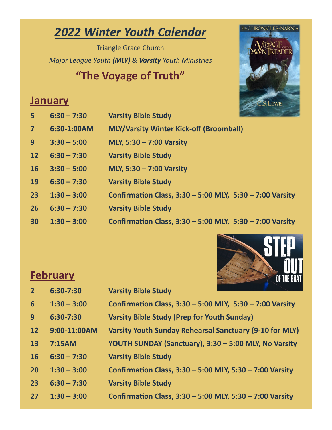## *2022 Winter Youth Calendar*

Triangle Grace Church *Major League Youth (MLY) & Varsity Youth Ministries*

### **"The Voyage of Truth"**



#### **January**

| 5 <sup>1</sup> | $6:30 - 7:30$ | <b>Varsity Bible Study</b>                                   |
|----------------|---------------|--------------------------------------------------------------|
| $\overline{7}$ | 6:30-1:00AM   | <b>MLY/Varsity Winter Kick-off (Broomball)</b>               |
| 9 <sup>°</sup> | $3:30 - 5:00$ | MLY, 5:30 - 7:00 Varsity                                     |
| 12             | $6:30 - 7:30$ | <b>Varsity Bible Study</b>                                   |
| <b>16</b>      | $3:30 - 5:00$ | MLY, 5:30 - 7:00 Varsity                                     |
| <b>19</b>      | $6:30 - 7:30$ | <b>Varsity Bible Study</b>                                   |
| 23             | $1:30 - 3:00$ | Confirmation Class, $3:30 - 5:00$ MLY, $5:30 - 7:00$ Varsity |
| 26             | $6:30 - 7:30$ | <b>Varsity Bible Study</b>                                   |
| 30             | $1:30 - 3:00$ | Confirmation Class, $3:30 - 5:00$ MLY, $5:30 - 7:00$ Varsity |

### **February**



| .              |               | UT INE DUAI                                                  |
|----------------|---------------|--------------------------------------------------------------|
| $\overline{2}$ | 6:30-7:30     | <b>Varsity Bible Study</b>                                   |
| 6              | $1:30 - 3:00$ | Confirmation Class, $3:30 - 5:00$ MLY, $5:30 - 7:00$ Varsity |
| 9              | 6:30-7:30     | <b>Varsity Bible Study (Prep for Youth Sunday)</b>           |
| 12             | 9:00-11:00AM  | Varsity Youth Sunday Rehearsal Sanctuary (9-10 for MLY)      |
| 13             | 7:15AM        | YOUTH SUNDAY (Sanctuary), 3:30 - 5:00 MLY, No Varsity        |
| <b>16</b>      | $6:30 - 7:30$ | <b>Varsity Bible Study</b>                                   |
| 20             | $1:30 - 3:00$ | Confirmation Class, 3:30 - 5:00 MLY, 5:30 - 7:00 Varsity     |
| 23             | $6:30 - 7:30$ | <b>Varsity Bible Study</b>                                   |
| 27             | $1:30 - 3:00$ | Confirmation Class, 3:30 - 5:00 MLY, 5:30 - 7:00 Varsity     |
|                |               |                                                              |